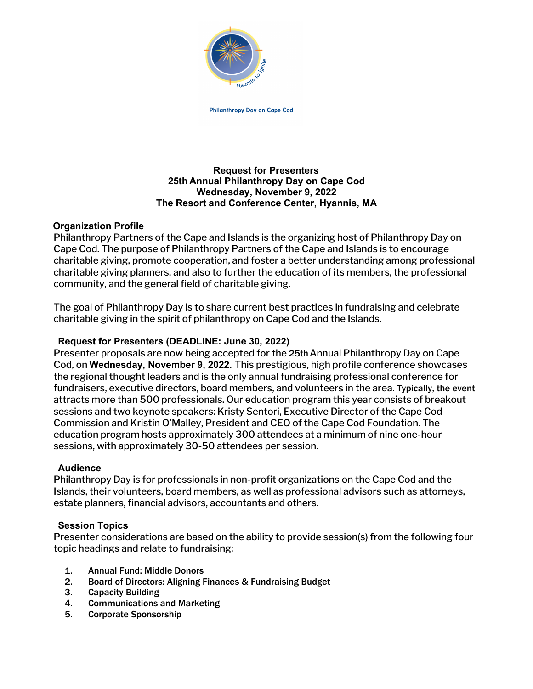

Philanthropy Day on Cape Cod

# **Request for Presenters 25th Annual Philanthropy Day on Cape Cod Wednesday, November 9, 2022 The Resort and Conference Center, Hyannis, MA**

# **Organization Profile**

Philanthropy Partners of the Cape and Islands is the organizing host of Philanthropy Day on Cape Cod. The purpose of Philanthropy Partners of the Cape and Islands is to encourage charitable giving, promote cooperation, and foster a better understanding among professional charitable giving planners, and also to further the education of its members, the professional community, and the general field of charitable giving.

The goal of Philanthropy Day is to share current best practices in fundraising and celebrate charitable giving in the spirit of philanthropy on Cape Cod and the Islands.

# **Request for Presenters (DEADLINE: June 30, 2022)**

Presenter proposals are now being accepted for the 25thAnnual Philanthropy Day on Cape Cod, on **Wednesday, November 9, 2022.** This prestigious, high profile conference showcases the regional thought leaders and is the only annual fundraising professional conference for fundraisers, executive directors, board members, and volunteers in the area. Typically, the event attracts more than 500 professionals. Our education program this year consists of breakout sessions and two keynote speakers: Kristy Sentori, Executive Director of the Cape Cod Commission and Kristin O'Malley, President and CEO of the Cape Cod Foundation. The education program hosts approximately 300 attendees at a minimum of nine one-hour sessions, with approximately 30-50 attendees per session.

# **Audience**

Philanthropy Day is for professionals in non-profit organizations on the Cape Cod and the Islands, their volunteers, board members, as well as professional advisors such as attorneys, estate planners, financial advisors, accountants and others.

# **Session Topics**

Presenter considerations are based on the ability to provide session(s) from the following four topic headings and relate to fundraising:

- 1. Annual Fund: Middle Donors
- 2. Board of Directors: Aligning Finances & Fundraising Budget
- 3. Capacity Building
- 4. Communications and Marketing
- 5. Corporate Sponsorship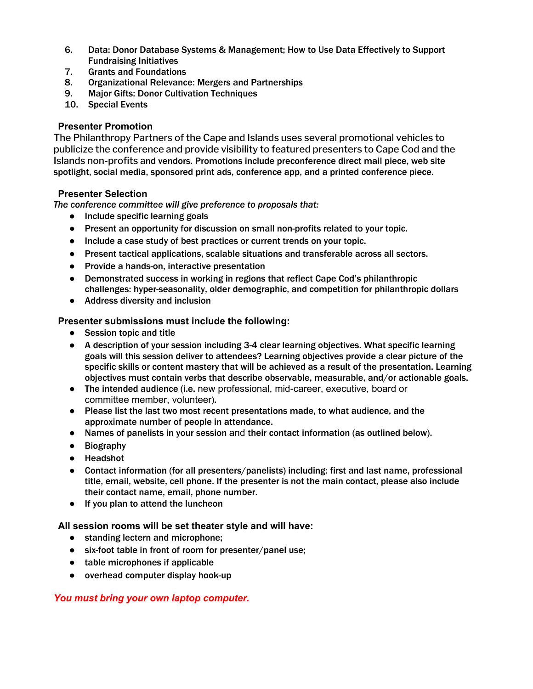- 6. Data: Donor Database Systems & Management; How to Use Data Effectively to Support Fundraising Initiatives
- 7. Grants and Foundations
- 8. Organizational Relevance: Mergers and Partnerships
- 9. Major Gifts: Donor Cultivation Techniques
- 10. Special Events

#### **Presenter Promotion**

The Philanthropy Partners of the Cape and Islands uses several promotional vehicles to publicize the conference and provide visibility to featured presenters to Cape Cod and the Islands non-profits and vendors. Promotions include preconference direct mail piece, web site spotlight, social media, sponsored print ads, conference app, and a printed conference piece.

#### **Presenter Selection**

*The conference committee will give preference to proposals that:*

- Include specific learning goals
- Present an opportunity for discussion on small non-profits related to your topic.
- Include a case study of best practices or current trends on your topic.
- Present tactical applications, scalable situations and transferable across all sectors.
- Provide a hands-on, interactive presentation
- Demonstrated success in working in regions that reflect Cape Cod's philanthropic challenges: hyper-seasonality, older demographic, and competition for philanthropic dollars
- Address diversity and inclusion

### **Presenter submissions must include the following:**

- Session topic and title
- A description of your session including 3-4 clear learning objectives. What specific learning goals will this session deliver to attendees? Learning objectives provide a clear picture of the specific skills or content mastery that will be achieved as a result of the presentation. Learning objectives must contain verbs that describe observable, measurable, and/or actionable goals.
- The intended audience (i.e. new professional, mid-career, executive, board or committee member, volunteer).
- Please list the last two most recent presentations made, to what audience, and the approximate number of people in attendance.
- Names of panelists in your session and their contact information (as outlined below).
- Biography
- Headshot
- Contact information (for all presenters/panelists) including: first and last name, professional title, email, website, cell phone. If the presenter is not the main contact, please also include their contact name, email, phone number.
- If you plan to attend the luncheon

**All session rooms will be set theater style and will have:**

- standing lectern and microphone;
- six-foot table in front of room for presenter/panel use;
- table microphones if applicable
- overhead computer display hook-up

# *You must bring your own laptop computer.*